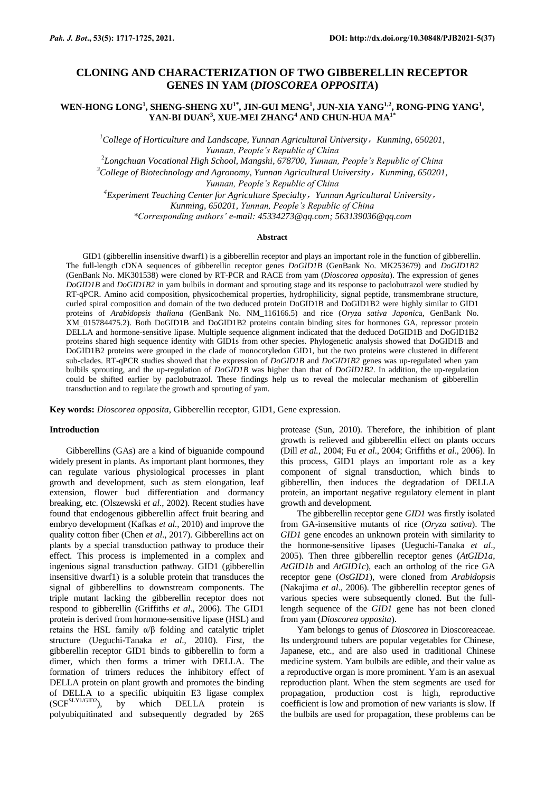# **CLONING AND CHARACTERIZATION OF TWO GIBBERELLIN RECEPTOR GENES IN YAM (***DIOSCOREA OPPOSITA***)**

## **WEN-HONG LONG<sup>1</sup> , SHENG-SHENG XU1\*, JIN-GUI MENG<sup>1</sup> , JUN-XIA YANG1,2, RONG-PING YANG<sup>1</sup> , YAN-BI DUAN<sup>3</sup> , XUE-MEI ZHANG<sup>4</sup> AND CHUN-HUA MA1\***

<sup>1</sup>College of Horticulture and Landscape, Yunnan Agricultural University, Kunming, 650201, *Yunnan, People's Republic of China*

2 *Longchuan Vocational High School, Mangshi, 678700, Yunnan, People's Republic of China*

*<sup>3</sup>College of Biotechnology and Agronomy, Yunnan Agricultural University*,*Kunming, 650201, Yunnan, People's Republic of China*

*<sup>4</sup>Experiment Teaching Center for Agriculture Specialty*,*Yunnan Agricultural University*, *Kunming, 650201, Yunnan, People's Republic of China \*Corresponding authors' e-mail: [45334273@qq.com;](mailto:45334273@qq.com) [563139036@qq.com](mailto:563139036@qq.com)*

#### **Abstract**

GID1 (gibberellin insensitive dwarf1) is a gibberellin receptor and plays an important role in the function of gibberellin. The full-length cDNA sequences of gibberellin receptor genes *DoGID1B* (GenBank No. MK253679) and *DoGID1B2*  (GenBank No. MK301538) were cloned by RT-PCR and RACE from yam (*Dioscorea opposita*). The expression of genes *DoGID1B* and *DoGID1B2* in yam bulbils in dormant and sprouting stage and its response to paclobutrazol were studied by RT-qPCR. Amino acid composition, physicochemical properties, hydrophilicity, signal peptide, transmembrane structure, curled spiral composition and domain of the two deduced protein DoGID1B and DoGID1B2 were highly similar to GID1 proteins of *Arabidopsis thaliana* (GenBank No. NM\_116166.5) and rice (*Oryza sativa Japonic*a, GenBank No. XM\_015784475.2). Both DoGID1B and DoGID1B2 proteins contain binding sites for hormones GA, repressor protein DELLA and hormone-sensitive lipase. Multiple sequence alignment indicated that the deduced DoGID1B and DoGID1B2 proteins shared high sequence identity with GID1s from other species. Phylogenetic analysis showed that DoGID1B and DoGID1B2 proteins were grouped in the clade of monocotyledon GID1, but the two proteins were clustered in different sub-clades. RT-qPCR studies showed that the expression of *DoGID1B* and *DoGID1B2* genes was up-regulated when yam bulbils sprouting, and the up-regulation of *DoGID1B* was higher than that of *DoGID1B2*. In addition, the up-regulation could be shifted earlier by paclobutrazol. These findings help us to reveal the molecular mechanism of gibberellin transduction and to regulate the growth and sprouting of yam.

**Key words:** *Dioscorea opposita,* Gibberellin receptor, GID1, Gene expression.

#### **Introduction**

Gibberellins (GAs) are a kind of biguanide compound widely present in plants. As important plant hormones, they can regulate various physiological processes in plant growth and development, such as stem elongation, leaf extension, flower bud differentiation and dormancy breaking, etc. (Olszewski *et al*., 2002). Recent studies have found that endogenous gibberellin affect fruit bearing and embryo development (Kafkas *et al.*, 2010) and improve the quality cotton fiber (Chen *et al*., 2017). Gibberellins act on plants by a special transduction pathway to produce their effect. This process is implemented in a complex and ingenious signal transduction pathway. GID1 (gibberellin insensitive dwarf1) is a soluble protein that transduces the signal of gibberellins to downstream components. The triple mutant lacking the gibberellin receptor does not respond to gibberellin (Griffiths *et al*., 2006). The GID1 protein is derived from hormone-sensitive lipase (HSL) and retains the HSL family α/β folding and catalytic triplet structure (Ueguchi-Tanaka *et al*., 2010). First, the gibberellin receptor GID1 binds to gibberellin to form a dimer, which then forms a trimer with DELLA. The formation of trimers reduces the inhibitory effect of DELLA protein on plant growth and promotes the binding of DELLA to a specific ubiquitin E3 ligase complex  $(SCF^{SLY1/GID2})$ , by which DELLA protein is polyubiquitinated and subsequently degraded by 26S protease (Sun, 2010). Therefore, the inhibition of plant growth is relieved and gibberellin effect on plants occurs (Dill *et al.*, 2004; Fu *et al*., 2004; Griffiths *et al*., 2006). In this process, GID1 plays an important role as a key component of signal transduction, which binds to gibberellin, then induces the degradation of DELLA protein, an important negative regulatory element in plant growth and development.

The gibberellin receptor gene *GID1* was firstly isolated from GA-insensitive mutants of rice (*Oryza sativa*). The *GID1* gene encodes an unknown protein with similarity to the hormone-sensitive lipases (Ueguchi-Tanaka *et al*., 2005). Then three gibberellin receptor genes (*AtGID1a*, *AtGID1b* and *AtGID1c*), each an ortholog of the rice GA receptor gene (*OsGID1*), were cloned from *Arabidopsis*  (Nakajima *et al*., 2006). The gibberellin receptor genes of various species were subsequently cloned. But the fulllength sequence of the *GID1* gene has not been cloned from yam (*Dioscorea opposita*).

Yam belongs to genus of *Dioscorea* in Dioscoreaceae. Its underground tubers are popular vegetables for Chinese, Japanese, etc., and are also used in traditional Chinese medicine system. Yam bulbils are edible, and their value as a reproductive organ is more prominent. Yam is an asexual reproduction plant. When the stem segments are used for propagation, production cost is high, reproductive coefficient is low and promotion of new variants is slow. If the bulbils are used for propagation, these problems can be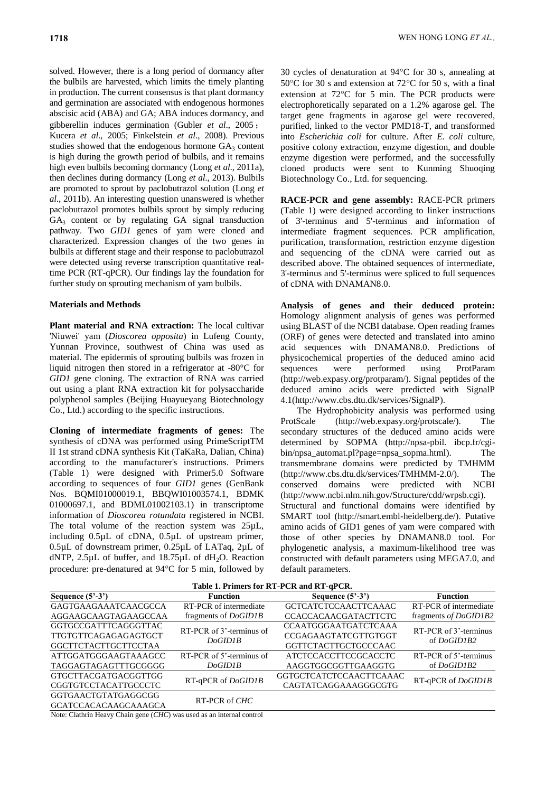solved. However, there is a long period of dormancy after the bulbils are harvested, which limits the timely planting in production. The current consensus is that plant dormancy and germination are associated with endogenous hormones abscisic acid (ABA) and GA; ABA induces dormancy, and gibberellin induces germination (Gubler *et al*., 2005; Kucera *et al*., 2005; Finkelstein *et al*., 2008). Previous studies showed that the endogenous hormone  $GA_3$  content is high during the growth period of bulbils, and it remains high even bulbils becoming dormancy (Long *et al*., 2011a), then declines during dormancy (Long *et al*., 2013). Bulbils are promoted to sprout by paclobutrazol solution (Long *et al*., 2011b). An interesting question unanswered is whether paclobutrazol promotes bulbils sprout by simply reducing  $GA<sub>3</sub>$  content or by regulating  $GA$  signal transduction pathway. Two *GID1* genes of yam were cloned and characterized. Expression changes of the two genes in bulbils at different stage and their response to paclobutrazol were detected using reverse transcription quantitative realtime PCR (RT-qPCR). Our findings lay the foundation for further study on sprouting mechanism of yam bulbils.

### **Materials and Methods**

**Plant material and RNA extraction:** The local cultivar 'Niuwei' yam (*Dioscorea opposita*) in Lufeng County, Yunnan Province, southwest of China was used as material. The epidermis of sprouting bulbils was frozen in liquid nitrogen then stored in a refrigerator at -80°C for *GID1* gene cloning. The extraction of RNA was carried out using a plant RNA extraction kit for polysaccharide polyphenol samples (Beijing Huayueyang Biotechnology Co., Ltd.) according to the specific instructions.

**Cloning of intermediate fragments of genes:** The synthesis of cDNA was performed using PrimeScriptTM II 1st strand cDNA synthesis Kit (TaKaRa, Dalian, China) according to the manufacturer's instructions. Primers (Table 1) were designed with Primer5.0 Software according to sequences of four *GID1* genes (GenBank Nos. BQMI01000019.1, BBQWI01003574.1, BDMK 01000697.1, and BDML01002103.1) in transcriptome information of *Dioscorea rotundata* registered in NCBI. The total volume of the reaction system was 25µL, including 0.5µL of cDNA, 0.5µL of upstream primer, 0.5µL of downstream primer, 0.25µL of LATaq, 2µL of dNTP,  $2.5\mu$ L of buffer, and  $18.75\mu$ L of dH<sub>2</sub>O. Reaction procedure: pre-denatured at 94°C for 5 min, followed by

30 cycles of denaturation at  $94^{\circ}$ C for 30 s, annealing at  $50^{\circ}$ C for 30 s and extension at 72 $^{\circ}$ C for 50 s, with a final extension at  $72^{\circ}$ C for 5 min. The PCR products were electrophoretically separated on a 1.2% agarose gel. The target gene fragments in agarose gel were recovered, purified, linked to the vector PMD18-T, and transformed into *Escherichia coli* for culture. After *E. coli* culture, positive colony extraction, enzyme digestion, and double enzyme digestion were performed, and the successfully cloned products were sent to Kunming Shuoqing Biotechnology Co., Ltd. for sequencing.

**RACE-PCR and gene assembly:** RACE-PCR primers (Table 1) were designed according to linker instructions of 3'-terminus and 5'-terminus and information of intermediate fragment sequences. PCR amplification, purification, transformation, restriction enzyme digestion and sequencing of the cDNA were carried out as described above. The obtained sequences of intermediate, 3'-terminus and 5'-terminus were spliced to full sequences of cDNA with DNAMAN8.0.

**Analysis of genes and their deduced protein:**  Homology alignment analysis of genes was performed using BLAST of the NCBI database. Open reading frames (ORF) of genes were detected and translated into amino acid sequences with DNAMAN8.0. Predictions of physicochemical properties of the deduced amino acid sequences were performed using ProtParam (http://web.expasy.org/protparam/). Signal peptides of the deduced amino acids were predicted with SignalP 4.1[\(http://www.cbs.dtu.dk/services/SignalP\)](http://www.cbs.dtu.dk/services/SignalP).

The Hydrophobicity analysis was performed using ProtScale (http://web.expasy.org/protscale/). The secondary structures of the deduced amino acids were determined by SOPMA [\(http://npsa-pbil. ibcp.fr/cgi](http://npsa-pbil.ibcp.fr/cgi-bin/npsa_automat.pl?page=npsa_sopma.html)[bin/npsa\\_automat.pl?page=npsa\\_sopma.html\)](http://npsa-pbil.ibcp.fr/cgi-bin/npsa_automat.pl?page=npsa_sopma.html). The transmembrane domains were predicted by TMHMM [\(http://www.cbs.dtu.dk/services/TMHMM-2.0/\)](http://www.cbs.dtu.dk/services/TMHMM-2.0/). The conserved domains were predicted with NCBI [\(http://www.ncbi.nlm.nih.gov/Structure/cdd/wrpsb.cgi\)](http://www.ncbi.nlm.nih.gov/Structure/cdd/wrpsb.cgi). Structural and functional domains were identified by SMART tool (http://smart.embl-heidelberg.de/). Putative amino acids of GID1 genes of yam were compared with those of other species by DNAMAN8.0 tool. For phylogenetic analysis, a maximum-likelihood tree was constructed with default parameters using MEGA7.0, and default parameters.

| Table 1. Primers for RT-PCR and RT-qPCR. |                          |                                |                        |  |  |  |  |  |
|------------------------------------------|--------------------------|--------------------------------|------------------------|--|--|--|--|--|
| Sequence $(5'-3')$                       | <b>Function</b>          | Sequence $(5^3-3^3)$           | <b>Function</b>        |  |  |  |  |  |
| GAGTGAAGAAATCAACGCCA                     | RT-PCR of intermediate   | <b>GCTCATCTCCAACTTCAAAC</b>    | RT-PCR of intermediate |  |  |  |  |  |
| AGGAAGCAAGTAGAAGCCAA                     | fragments of DoGID1B     | <b>CCACCACAACGATACTTCTC</b>    | fragments of DoGID1B2  |  |  |  |  |  |
| GGTGCCGATTTCAGGGTTAC                     | RT-PCR of 3'-terminus of | <b>CCAATGGGAATGATCTCAAA</b>    | RT-PCR of 3'-terminus  |  |  |  |  |  |
| <b>TTGTGTTCAGAGAGAGTGCT</b>              | DoGIDIB                  | CCGAGAAGTATCGTTGTGGT           | of DoGID1B2            |  |  |  |  |  |
| <b>GGCTTCTACTTGCTTCCTAA</b>              |                          | GGTTCTACTTGCTGCCCAAC           |                        |  |  |  |  |  |
| ATTGGATGGGAAGTAAAGCC                     | RT-PCR of 5'-terminus of | <b>ATCTCCACCTTCCGCACCTC</b>    | RT-PCR of 5'-terminus  |  |  |  |  |  |
| TAGGAGTAGAGTTTGCGGGG                     | DoGIDIB                  | AAGGTGGCGGTTGAAGGTG            | of DoGID1B2            |  |  |  |  |  |
| <b>GTGCTTACGATGACGGTTGG</b>              | RT-qPCR of DoGID1B       | <b>GGTGCTCATCTCCAACTTCAAAC</b> | $RT-qPCR$ of $DoGIDIB$ |  |  |  |  |  |
| CGGTGTCCTACATTGCCCTC                     |                          | CAGTATCAGGAAAGGGCGTG           |                        |  |  |  |  |  |
| GGTGAACTGTATGAGGCGG                      | RT-PCR of CHC            |                                |                        |  |  |  |  |  |
| <b>GCATCCACACAAGCAAAGCA</b>              |                          |                                |                        |  |  |  |  |  |
|                                          |                          |                                |                        |  |  |  |  |  |

Note: Clathrin Heavy Chain gene (*CHC*) was used as an internal control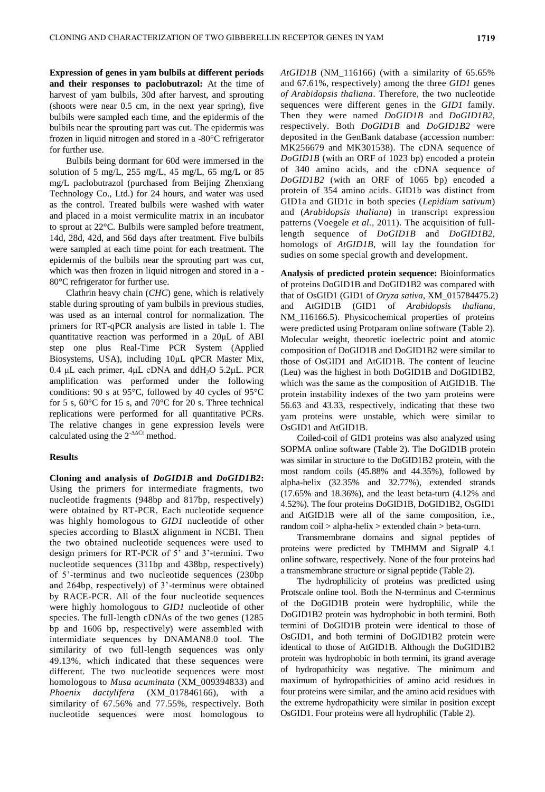**Expression of genes in yam bulbils at different periods and their responses to paclobutrazol:** At the time of harvest of yam bulbils, 30d after harvest, and sprouting (shoots were near 0.5 cm, in the next year spring), five bulbils were sampled each time, and the epidermis of the bulbils near the sprouting part was cut. The epidermis was frozen in liquid nitrogen and stored in a -80°C refrigerator for further use.

Bulbils being dormant for 60d were immersed in the solution of 5 mg/L, 255 mg/L, 45 mg/L, 65 mg/L or 85 mg/L paclobutrazol (purchased from Beijing Zhenxiang Technology Co., Ltd.) for 24 hours, and water was used as the control. Treated bulbils were washed with water and placed in a moist vermiculite matrix in an incubator to sprout at 22°C. Bulbils were sampled before treatment, 14d, 28d, 42d, and 56d days after treatment. Five bulbils were sampled at each time point for each treatment. The epidermis of the bulbils near the sprouting part was cut, which was then frozen in liquid nitrogen and stored in a - 80°C refrigerator for further use.

Clathrin heavy chain (*CHC*) gene, which is relatively stable during sprouting of yam bulbils in previous studies, was used as an internal control for normalization. The primers for RT-qPCR analysis are listed in table 1. The quantitative reaction was performed in a 20μL of ABI step one plus Real-Time PCR System (Applied Biosystems, USA), including 10μL qPCR Master Mix,  $0.4$  μL each primer,  $4\mu$ L cDNA and ddH<sub>2</sub>O 5.2μL. PCR amplification was performed under the following conditions: 90 s at 95°C, followed by 40 cycles of 95°C for 5 s, 60°C for 15 s, and 70°C for 20 s. Three technical replications were performed for all quantitative PCRs. The relative changes in gene expression levels were calculated using the  $2^{-\Delta\Delta Ct}$  method.

### **Results**

**Cloning and analysis of** *DoGID1B* **and** *DoGID1B2***:**  Using the primers for intermediate fragments, two nucleotide fragments (948bp and 817bp, respectively) were obtained by RT-PCR. Each nucleotide sequence was highly homologous to *GID1* nucleotide of other species according to BlastX alignment in NCBI. Then the two obtained nucleotide sequences were used to design primers for RT-PCR of 5' and 3'-termini. Two nucleotide sequences (311bp and 438bp, respectively) of 5'-terminus and two nucleotide sequences (230bp and 264bp, respectively) of 3'-terminus were obtained by RACE-PCR. All of the four nucleotide sequences were highly homologous to *GID1* nucleotide of other species. The full-length cDNAs of the two genes (1285 bp and 1606 bp, respectively) were assembled with intermidiate sequences by DNAMAN8.0 tool. The similarity of two full-length sequences was only 49.13%, which indicated that these sequences were different. The two nucleotide sequences were most homologous to *Musa acuminata* (XM\_009394833) and *Phoenix dactylifera* (XM\_017846166), with a similarity of 67.56% and 77.55%, respectively. Both nucleotide sequences were most homologous to *AtGID1B* (NM\_116166) (with a similarity of 65.65% and 67.61%, respectively) among the three *GID1* genes *of Arabidopsis thaliana*. Therefore, the two nucleotide sequences were different genes in the *GID1* family. Then they were named *DoGID1B* and *DoGID1B2,*  respectively. Both *DoGID1B* and *DoGID1B2* were deposited in the GenBank database (accession number: MK256679 and MK301538). The cDNA sequence of *DoGID1B* (with an ORF of 1023 bp) encoded a protein of 340 amino acids, and the cDNA sequence of *DoGID1B2* (with an ORF of 1065 bp) encoded a protein of 354 amino acids. GID1b was distinct from GID1a and GID1c in both species (*Lepidium sativum*) and (*Arabidopsis thaliana*) in transcript expression patterns (Voegele *et al.*, 2011). The acquisition of fulllength sequence of *DoGID1B* and *DoGID1B2*, homologs of *AtGID1B*, will lay the foundation for sudies on some special growth and development.

**Analysis of predicted protein sequence:** Bioinformatics of proteins DoGID1B and DoGID1B2 was compared with that of OsGID1 (GID1 of *Oryza sativa*, XM\_015784475.2) and AtGID1B (GID1 of *Arabidopsis thaliana*, NM\_116166.5). Physicochemical properties of proteins were predicted using Protparam online software (Table 2). Molecular weight, theoretic ioelectric point and atomic composition of DoGID1B and DoGID1B2 were similar to those of OsGID1 and AtGID1B. The content of leucine (Leu) was the highest in both DoGID1B and DoGID1B2, which was the same as the composition of AtGID1B. The protein instability indexes of the two yam proteins were 56.63 and 43.33, respectively, indicating that these two yam proteins were unstable, which were similar to OsGID1 and AtGID1B.

Coiled-coil of GID1 proteins was also analyzed using SOPMA online software (Table 2). The DoGID1B protein was similar in structure to the DoGID1B2 protein, with the most random coils (45.88% and 44.35%), followed by alpha-helix (32.35% and 32.77%), extended strands (17.65% and 18.36%), and the least beta-turn (4.12% and 4.52%). The four proteins DoGID1B, DoGID1B2, OsGID1 and AtGID1B were all of the same composition, i.e., random coil > alpha-helix > extended chain > beta-turn.

Transmembrane domains and signal peptides of proteins were predicted by TMHMM and SignalP 4.1 online software, respectively. None of the four proteins had a transmembrane structure or signal peptide (Table 2).

The hydrophilicity of proteins was predicted using Protscale online tool. Both the N-terminus and C-terminus of the DoGID1B protein were hydrophilic, while the DoGID1B2 protein was hydrophobic in both termini. Both termini of DoGID1B protein were identical to those of OsGID1, and both termini of DoGID1B2 protein were identical to those of AtGID1B. Although the DoGID1B2 protein was hydrophobic in both termini, its grand average of hydropathicity was negative. The minimum and maximum of hydropathicities of amino acid residues in four proteins were similar, and the amino acid residues with the extreme hydropathicity were similar in position except OsGID1. Four proteins were all hydrophilic (Table 2).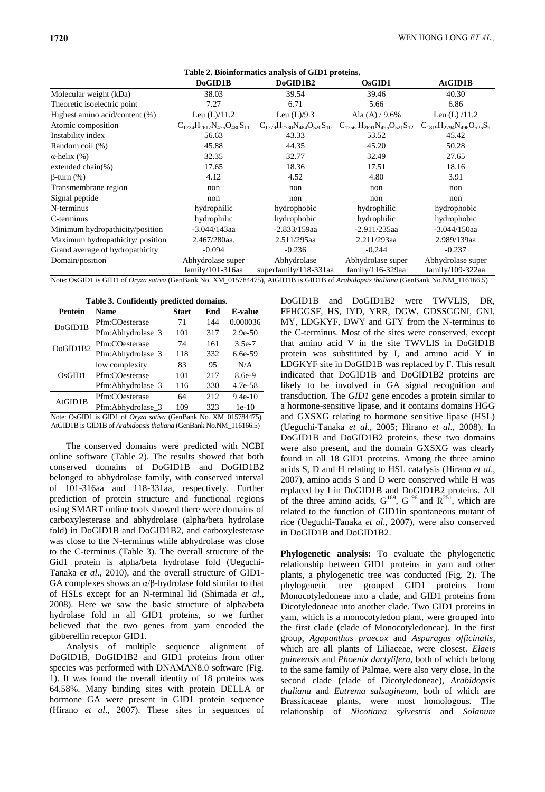| Table 2. Bioinformatics analysis of GID1 proteins. |                                          |                                      |                                                                               |                                       |  |  |  |
|----------------------------------------------------|------------------------------------------|--------------------------------------|-------------------------------------------------------------------------------|---------------------------------------|--|--|--|
|                                                    | DoGID1B                                  | DoGID1B2                             | OsGID1                                                                        | AtGID1B                               |  |  |  |
| Molecular weight (kDa)                             | 38.03                                    | 39.54                                | 39.46                                                                         | 40.30                                 |  |  |  |
| Theoretic isoelectric point                        | 7.27                                     | 6.71                                 | 5.66                                                                          | 6.86                                  |  |  |  |
| Highest amino acid/content (%)                     | Leu $(L)/11.2$                           | Leu $(L)/9.3$                        | Ala $(A)/9.6%$                                                                | Leu $(L)$ /11.2                       |  |  |  |
| Atomic composition                                 | $C_{1724}H_{2617}N_{475}O_{480}S_{11}$   |                                      | $C_{1779}H_{2730}N_{484}O_{520}S_{10}$ $C_{1756}H_{2691}N_{495}O_{521}S_{12}$ | $C_{1819}H_{2794}N_{496}O_{525}S_9$   |  |  |  |
| Instability index                                  | 56.63                                    | 43.33                                | 53.52                                                                         | 45.42                                 |  |  |  |
| Random coil (%)                                    | 45.88                                    | 44.35                                | 45.20                                                                         | 50.28                                 |  |  |  |
| $\alpha$ -helix (%)                                | 32.35                                    | 32.77                                | 32.49                                                                         | 27.65                                 |  |  |  |
| extended chain $(\%)$                              | 17.65                                    | 18.36                                | 17.51                                                                         | 18.16                                 |  |  |  |
| $\beta$ -turn $(\%)$                               | 4.12                                     | 4.52                                 | 4.80                                                                          | 3.91                                  |  |  |  |
| Transmembrane region                               | non                                      | non                                  | non                                                                           | non                                   |  |  |  |
| Signal peptide                                     | non                                      | non                                  | non                                                                           | non                                   |  |  |  |
| N-terminus                                         | hydrophilic                              | hydrophobic                          | hydrophilic                                                                   | hydrophobic                           |  |  |  |
| C-terminus                                         | hydrophilic                              | hydrophobic                          | hydrophilic                                                                   | hydrophobic                           |  |  |  |
| Minimum hydropathicity/position                    | $-3.044/143$ aa                          | $-2.833/159$ aa                      | $-2.911/235$ aa                                                               | $-3.044/150$ aa                       |  |  |  |
| Maximum hydropathicity/ position                   | 2.467/280aa.                             | 2.511/295aa                          | 2.211/293aa                                                                   | 2.989/139aa                           |  |  |  |
| Grand average of hydropathicity                    | $-0.094$                                 | $-0.236$                             | $-0.244$                                                                      | $-0.237$                              |  |  |  |
| Domain/position                                    | Abhydrolase super<br>$family/101-316$ aa | Abhydrolase<br>superfamily/118-331aa | Abhydrolase super<br>family/116-329aa                                         | Abhydrolase super<br>family/109-322aa |  |  |  |

Note: OsGID1 is GID1 of *Oryza sativa* (GenBank No. XM\_015784475), AtGID1B is GID1B of *Arabidopsis thaliana* (GenBank No.NM\_116166.5)

**Table 3. Confidently predicted domains.**

| <b>Protein</b> | <b>Name</b>       | <b>Start</b> | End  | <b>E-value</b> |
|----------------|-------------------|--------------|------|----------------|
| DoGID1B        | Pfm:COesterase    | 71           | 144  | 0.000036       |
|                | Pfm:Abhydrolase 3 | 101          | 317  | $2.9e-50$      |
| DoGID1B2       | Pfm:COesterase    | 74           | 161  | $3.5e-7$       |
|                | Pfm:Abhydrolase 3 | 118          | 332  | $6.6e-59$      |
| OsGID1         | low complexity    | 83           | 95   | N/A            |
|                | Pfm:COesterase    | 101          | 217  | $8.6e-9$       |
|                | Pfm:Abhydrolase_3 | 116          | 330  | 4.7e-58        |
| AtGID1B        | Pfm:COesterase    | 64           | 2.12 | $9.4e-10$      |
|                | Pfm:Abhydrolase 3 | 109          | 323  | $1e-10$        |

Note: OsGID1 is GID1 of *Oryza sativa* (GenBank No. XM\_015784475), AtGID1B is GID1B of *Arabidopsis thaliana* (GenBank No.NM\_116166.5)

The conserved domains were predicted with NCBI online software (Table 2). The results showed that both conserved domains of DoGID1B and DoGID1B2 belonged to abhydrolase family, with conserved interval of 101-316aa and 118-331aa, respectively. Further prediction of protein structure and functional regions using SMART online tools showed there were domains of carboxylesterase and abhydrolase (alpha/beta hydrolase fold) in DoGID1B and DoGID1B2, and carboxylesterase was close to the N-terminus while abhydrolase was close to the C-terminus (Table 3). The overall structure of the Gid1 protein is alpha/beta hydrolase fold (Ueguchi-Tanaka *et al*., 2010), and the overall structure of GID1- GA complexes shows an α/β-hydrolase fold similar to that of HSLs except for an N-terminal lid (Shimada *et al*., 2008). Here we saw the basic structure of alpha/beta hydrolase fold in all GID1 proteins, so we further believed that the two genes from yam encoded the gibberellin receptor GID1.

Analysis of multiple sequence alignment of DoGID1B, DoGID1B2 and GID1 proteins from other species was performed with DNAMAN8.0 software (Fig. 1). It was found the overall identity of 18 proteins was 64.58%. Many binding sites with protein DELLA or hormone GA were present in GID1 protein sequence (Hirano *et al*., 2007). These sites in sequences of

DoGID1B and DoGID1B2 were TWVLIS, DR, FFHGGSF, HS, IYD, YRR, DGW, GDSSGGNI, GNI, MY, LDGKYF, DWY and GFY from the N-terminus to the C-terminus. Most of the sites were conserved, except that amino acid V in the site TWVLIS in DoGID1B protein was substituted by I, and amino acid Y in LDGKYF site in DoGID1B was replaced by F. This result indicated that DoGID1B and DoGID1B2 proteins are likely to be involved in GA signal recognition and transduction. The *GID1* gene encodes a protein similar to a hormone-sensitive lipase, and it contains domains HGG and GXSXG relating to hormone sensitive lipase (HSL) (Ueguchi-Tanaka *et al*., 2005; Hirano *et al*., 2008). In DoGID1B and DoGID1B2 proteins, these two domains were also present, and the domain GXSXG was clearly found in all 18 GID1 proteins. Among the three amino acids S, D and H relating to HSL catalysis (Hirano *et al*., 2007), amino acids S and D were conserved while H was replaced by I in DoGID1B and DoGID1B2 proteins. All of the three amino acids,  $G^{169}$ ,  $G^{196}$  and  $R^{251}$ , which are related to the function of GID1in spontaneous mutant of rice (Ueguchi-Tanaka *et al*., 2007), were also conserved in DoGID1B and DoGID1B2.

**Phylogenetic analysis:** To evaluate the phylogenetic relationship between GID1 proteins in yam and other plants, a phylogenetic tree was conducted (Fig. 2)*.* The phylogenetic tree grouped GID1 proteins from Monocotyledoneae into a clade, and GID1 proteins from Dicotyledoneae into another clade. Two GID1 proteins in yam, which is a monocotyledon plant, were grouped into the first clade (clade of Monocotyledoneae). In the first group, *Agapanthus praecox* and *Asparagus officinalis*, which are all plants of Liliaceae, were closest. *Elaeis guineensis* and *Phoenix dactylifera,* both of which belong to the same family of Palmae, were also very close. In the second clade (clade of Dicotyledoneae), *Arabidopsis thaliana* and *Eutrema salsugineum,* both of which are Brassicaceae plants, were most homologous. The relationship of *Nicotiana sylvestris* and *Solanum*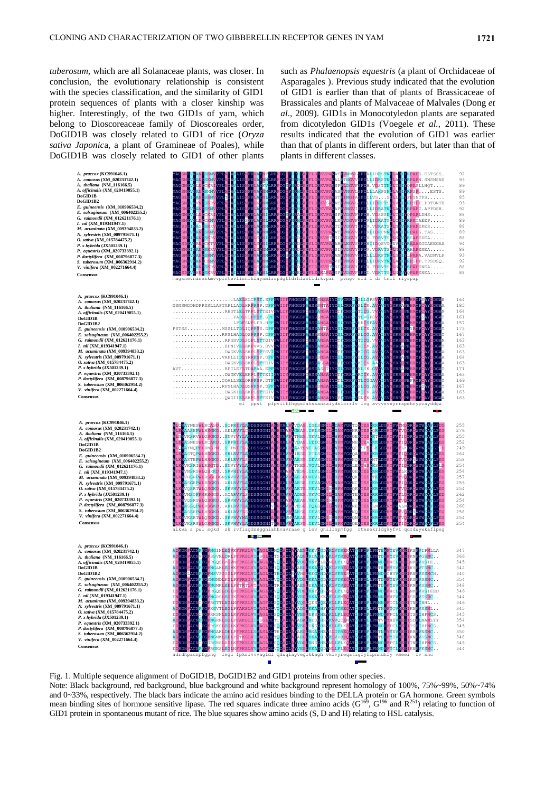*tuberosum,* which are all Solanaceae plants, was closer. In conclusion, the evolutionary relationship is consistent with the species classification, and the similarity of GID1 protein sequences of plants with a closer kinship was higher. Interestingly, of the two GID1s of yam, which belong to Dioscoreaceae family of Dioscoreales order, DoGID1B was closely related to GID1 of rice (*Oryza sativa Japonic*a, a plant of Gramineae of Poales), while DoGID1B was closely related to GID1 of other plants

such as *Phalaenopsis equestris* (a plant of Orchidaceae of Asparagales ). Previous study indicated that the evolution of GID1 is earlier than that of plants of Brassicaceae of Brassicales and plants of Malvaceae of Malvales (Dong *et al*., 2009). GID1s in Monocotyledon plants are separated from dicotyledon GID1s (Voegele *et al.*, 2011). These results indicated that the evolution of GID1 was earlier than that of plants in different orders, but later than that of plants in different classes.



Fig. 1. Multiple sequence alignment of DoGID1B, DoGID1B2 and GID1 proteins from other species.

Note: Black background, red background, blue background and white background represent homology of 100%, 75%~99%, 50%~74% and 0~33%, respectively. The black bars indicate the amino acid residues binding to the DELLA protein or GA hormone. Green symbols mean binding sites of hormone sensitive lipase. The red squares indicate three amino acids  $(G^{169}, G^{196})$  and  $R^{251}$ ) relating to function of GID1 protein in spontaneous mutant of rice. The blue squares show amino acids (S, D and H) relating to HSL catalysis.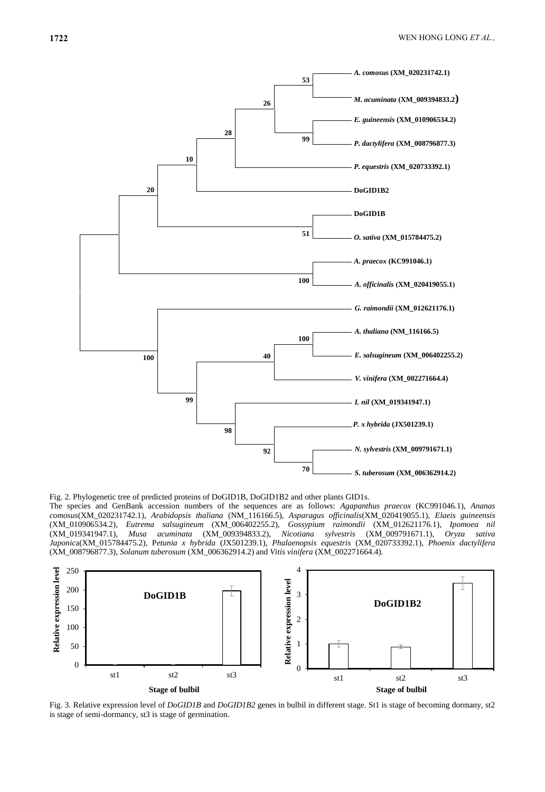

Fig. 2. Phylogenetic tree of predicted proteins of DoGID1B, DoGID1B2 and other plants GID1s.

The species and GenBank accession numbers of the sequences are as follows: *Agapanthus praecox* (KC991046.1), *Ananas comosus*(XM\_020231742.1), *Arabidopsis thaliana* (NM\_116166.5), *Asparagus officinalis*(XM\_020419055.1), *Elaeis guineensis* (XM\_010906534.2), *Eutrema salsugineum* (XM\_006402255.2), *Gossypium raimondii* (XM\_012621176.1), *Ipomoea nil* (XM\_019341947.1), *Musa acuminata* (XM\_009394833.2), *Nicotiana sylvestris* (XM\_009791671.1), *Oryza sativa Japonic*a(XM\_015784475.2), P*etunia x hybrida* (JX501239.1), *Phalaenopsis equestris* (XM\_020733392.1), *Phoenix dactylifera* (XM\_008796877.3), *Solanum tuberosum* (XM\_006362914.2) and *Vitis vinifera* (XM\_002271664.4).



Fig. 3. Relative expression level of *DoGID1B* and *DoGID1B2* genes in bulbil in different stage. St1 is stage of becoming dormany, st2 is stage of semi-dormancy, st3 is stage of germination.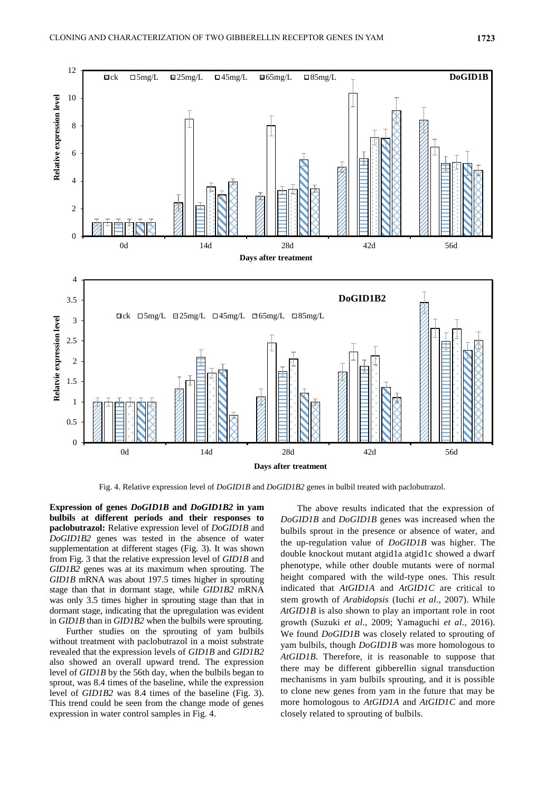

Fig. 4. Relative expression level of *DoGID1B* and *DoGID1B2* genes in bulbil treated with paclobutrazol.

**Expression of genes** *DoGID1B* **and** *DoGID1B2* **in yam bulbils at different periods and their responses to paclobutrazol:** Relative expression level of *DoGID1B* and *DoGID1B2* genes was tested in the absence of water supplementation at different stages (Fig. 3). It was shown from Fig. 3 that the relative expression level of *GID1B* and *GID1B2* genes was at its maximum when sprouting. The *GID1B* mRNA was about 197.5 times higher in sprouting stage than that in dormant stage, while *GID1B2* mRNA was only 3.5 times higher in sprouting stage than that in dormant stage, indicating that the upregulation was evident in *GID1B* than in *GID1B2* when the bulbils were sprouting.

Further studies on the sprouting of yam bulbils without treatment with paclobutrazol in a moist substrate revealed that the expression levels of *GID1B* and *GID1B2* also showed an overall upward trend. The expression level of *GID1B* by the 56th day, when the bulbils began to sprout, was 8.4 times of the baseline, while the expression level of *GID1B2* was 8.4 times of the baseline (Fig. 3). This trend could be seen from the change mode of genes expression in water control samples in Fig. 4.

The above results indicated that the expression of *DoGID1B* and *DoGID1B* genes was increased when the bulbils sprout in the presence or absence of water, and the up-regulation value of *DoGID1B* was higher. The double knockout mutant atgid1a atgid1c showed a dwarf phenotype, while other double mutants were of normal height compared with the wild-type ones. This result indicated that *AtGID1A* and *AtGID1C* are critical to stem growth of *Arabidopsis* (Iuchi *et al*., 2007). While *AtGID1B* is also shown to play an important role in root growth (Suzuki *et al*., 2009; Yamaguchi *et al*., 2016). We found *DoGID1B* was closely related to sprouting of yam bulbils, though *DoGID1B* was more homologous to *AtGID1B*. Therefore, it is reasonable to suppose that there may be different gibberellin signal transduction mechanisms in yam bulbils sprouting, and it is possible to clone new genes from yam in the future that may be more homologous to *AtGID1A* and *AtGID1C* and more closely related to sprouting of bulbils.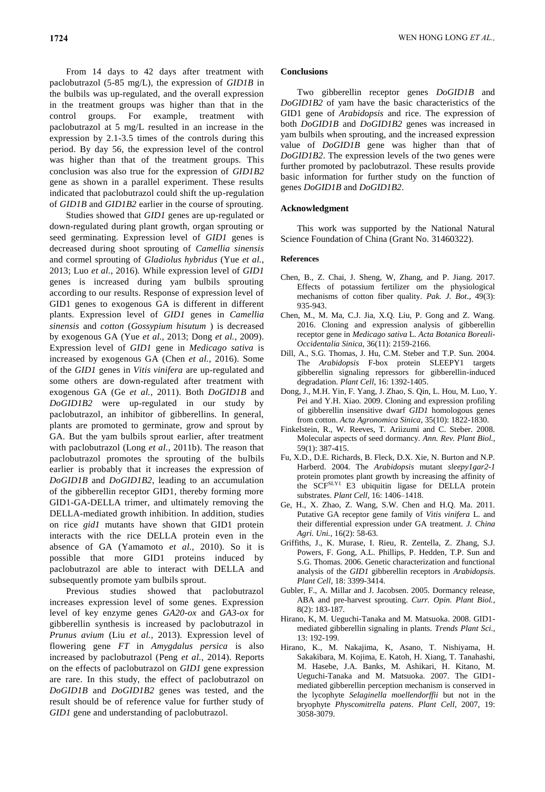From 14 days to 42 days after treatment with paclobutrazol (5-85 mg/L), the expression of *GID1B* in the bulbils was up-regulated, and the overall expression in the treatment groups was higher than that in the control groups. For example, treatment with paclobutrazol at 5 mg/L resulted in an increase in the expression by 2.1-3.5 times of the controls during this period. By day 56, the expression level of the control was higher than that of the treatment groups. This conclusion was also true for the expression of *GID1B2* gene as shown in a parallel experiment. These results indicated that paclobutrazol could shift the up-regulation of *GID1B* and *GID1B2* earlier in the course of sprouting.

Studies showed that *GID1* genes are up-regulated or down-regulated during plant growth, organ sprouting or seed germinating. Expression level of *GID1* genes is decreased during shoot sprouting of *Camellia sinensis* and cormel sprouting of *Gladiolus hybridus* (Yue *et al.*, 2013; Luo *et al.*, 2016)*.* While expression level of *GID1* genes is increased during yam bulbils sprouting according to our results. Response of expression level of GID1 genes to exogenous GA is different in different plants. Expression level of *GID1* genes in *Camellia sinensis* and *cotton* (*Gossypium hisutum* ) is decreased by exogenous GA (Yue *et al.*, 2013; Dong *et al.*, 2009). Expression level of *GID1* gene in *Medicago sativa* is increased by exogenous GA (Chen *et al.*, 2016). Some of the *GID1* genes in *Vitis vinifera* are up-regulated and some others are down-regulated after treatment with exogenous GA (Ge *et al.*, 2011). Both *DoGID1B* and *DoGID1B2* were up-regulated in our study by paclobutrazol, an inhibitor of gibberellins. In general, plants are promoted to germinate, grow and sprout by GA. But the yam bulbils sprout earlier, after treatment with paclobutrazol (Long *et al.*, 2011b). The reason that paclobutrazol promotes the sprouting of the bulbils earlier is probably that it increases the expression of *DoGID1B* and *DoGID1B2*, leading to an accumulation of the gibberellin receptor GID1, thereby forming more GID1-GA-DELLA trimer, and ultimately removing the DELLA-mediated growth inhibition. In addition, studies on rice *gid1* mutants have shown that GID1 protein interacts with the rice DELLA protein even in the absence of GA (Yamamoto *et al.*, 2010). So it is possible that more GID1 proteins induced by paclobutrazol are able to interact with DELLA and subsequently promote yam bulbils sprout.

Previous studies showed that paclobutrazol increases expression level of some genes. Expression level of key enzyme genes *GA20-ox* and *GA3-ox* for gibberellin synthesis is increased by paclobutrazol in *Prunus avium* (Liu *et al.*, 2013). Expression level of flowering gene *FT* in *Amygdalus persica* is also increased by paclobutrazol (Peng *et al.*, 2014). Reports on the effects of paclobutrazol on *GID1* gene expression are rare. In this study, the effect of paclobutrazol on *DoGID1B* and *DoGID1B2* genes was tested, and the result should be of reference value for further study of *GID1* gene and understanding of paclobutrazol.

### **Conclusions**

Two gibberellin receptor genes *DoGID1B* and *DoGID1B2* of yam have the basic characteristics of the GID1 gene of *Arabidopsis* and rice. The expression of both *DoGID1B* and *DoGID1B2* genes was increased in yam bulbils when sprouting, and the increased expression value of *DoGID1B* gene was higher than that of *DoGID1B2*. The expression levels of the two genes were further promoted by paclobutrazol. These results provide basic information for further study on the function of genes *DoGID1B* and *DoGID1B2*.

### **Acknowledgment**

This work was supported by the National Natural Science Foundation of China (Grant No. 31460322).

### **References**

- Chen, B., Z. Chai, J. Sheng, W, Zhang, and P. Jiang. 2017. Effects of potassium fertilizer om the physiological mechanisms of cotton fiber quality. *Pak. J. Bot*., 49(3): 935-943.
- Chen, M., M. Ma, C.J. Jia, X.Q. Liu, P. Gong and Z. Wang. 2016. Cloning and expression analysis of gibberellin receptor gene in *Medicago sativa* L. *Acta Botanica Boreali-Occidentalia Sinica*, 36(11): 2159-2166.
- Dill, A., S.G. Thomas, J. Hu, C.M. Steber and T.P. Sun. 2004. The *Arabidopsis* F-box protein SLEEPY1 targets gibberellin signaling repressors for gibberellin-induced degradation. *Plant Cell*, 16: 1392-1405.
- Dong, J., M.H. Yin, F. Yang, J. Zhao, S. Qin, L. Hou, M. Luo, Y. Pei and Y.H. Xiao. 2009. Cloning and expression profiling of gibberellin insensitive dwarf *GID1* homologous genes from cotton. *Acta Agronomica Sinica*, 35(10): 1822-1830.
- Finkelstein, R., W. Reeves, T. Ariizumi and C. Steber. 2008. Molecular aspects of seed dormancy. *Ann. Rev. Plant Biol.*, 59(1): 387-415.
- Fu, X.D., D.E. Richards, B. Fleck, D.X. Xie, N. Burton and N.P. Harberd. 2004. The *Arabidopsis* mutant *sleepy1gar2-1* protein promotes plant growth by increasing the affinity of the SCF<sup>SLY1</sup> E3 ubiquitin ligase for DELLA protein substrates. *Plant Cell*, 16: 1406–1418.
- Ge, H., X. Zhao, Z. Wang, S.W. Chen and H.Q. Ma. 2011. Putative GA receptor gene family of *Vitis vinifera* L. and their differential expression under GA treatment. *J. China Agri. Uni.*, 16(2): 58-63.
- Griffiths, J., K. Murase, I. Rieu, R. Zentella, Z. Zhang, S.J. Powers, F. Gong, A.L. Phillips, P. Hedden, T.P. Sun and S.G. Thomas. 2006. Genetic characterization and functional analysis of the *GID1* gibberellin receptors in *Arabidopsis*. *Plant Cell*, 18: 3399-3414.
- Gubler, F., A. Millar and J. Jacobsen. 2005. Dormancy release, ABA and pre-harvest sprouting. *Curr. Opin. Plant Biol.*, 8(2): 183-187.
- Hirano, K, M. Ueguchi-Tanaka and M. Matsuoka. 2008. GID1 mediated gibberellin signaling in plants. *Trends Plant Sci.*, 13: 192-199.
- Hirano, K., M. Nakajima, K, Asano, T. Nishiyama, H. Sakakibara, M. Kojima, E. Katoh, H. Xiang, T. Tanahashi, M. Hasebe, J.A. Banks, M. Ashikari, H. Kitano, M. Ueguchi-Tanaka and M. Matsuoka. 2007. The GID1 mediated gibberellin perception mechanism is conserved in the lycophyte *Selaginella moellendorffii* but not in the bryophyte *Physcomitrella patens*. *Plant Cell*, 2007, 19: 3058-3079.